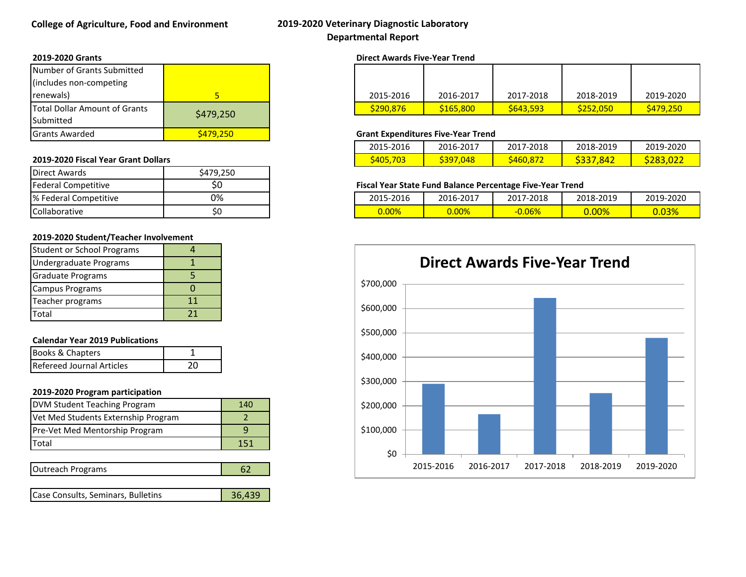## **College of Agriculture, Food and Environment 2019-2020 Veterinary Diagnostic Laboratory Departmental Report**

#### **2019-2020 Grants Direct Awards Five-Year Trend**

| Number of Grants Submitted           |           |
|--------------------------------------|-----------|
| (includes non-competing              |           |
| renewals)                            |           |
| <b>Total Dollar Amount of Grants</b> | \$479,250 |
| Submitted                            |           |
| <b>Grants Awarded</b>                | \$479,250 |

#### **2019-2020 Fiscal Year Grant Dollars**

| Direct Awards         | \$479,250 |
|-----------------------|-----------|
| Federal Competitive   |           |
| % Federal Competitive | በ%        |
| Collaborative         | S۵        |

#### **2019-2020 Student/Teacher Involvement**

| <b>Student or School Programs</b> |    |
|-----------------------------------|----|
| Undergraduate Programs            |    |
| <b>Graduate Programs</b>          |    |
| <b>Campus Programs</b>            |    |
| Teacher programs                  | 11 |
| Total                             | 21 |

#### **Calendar Year 2019 Publications**

| <b>Books &amp; Chapters</b>      |  |
|----------------------------------|--|
| <b>Refereed Journal Articles</b> |  |

#### **2019-2020 Program participation**

| DVM Student Teaching Program        | 140 |
|-------------------------------------|-----|
| Vet Med Students Externship Program |     |
| Pre-Vet Med Mentorship Program      |     |
| <b>Total</b>                        | 151 |

| Outreach Programs |  |
|-------------------|--|

|  | Case Consults, Seminars, Bulletins | 36,439 |
|--|------------------------------------|--------|
|--|------------------------------------|--------|

renewals) 2015-2016 2016-2017 2017-2018 2018-2019 2019-2020  $\binom{1}{3}$   $\binom{290}{376}$   $\binom{165}{300}$   $\binom{165}{300}$   $\binom{165}{300}$   $\binom{165}{300}$   $\binom{165}{300}$   $\binom{165}{300}$ 

### **Grant Expenditures Five-Year Trend**

| 2015-2016       | 2016-2017    | 2017-2018 | 2018-2019 | 2019-2020       |
|-----------------|--------------|-----------|-----------|-----------------|
| <b>S405,703</b> | .048<br>5397 | 5460,872  | 5337      | <b>3283.027</b> |

#### **Fiscal Year State Fund Balance Percentage Five-Year Trend**

| % Federal<br>Competitive | 0% | 5-2016<br>2015<br>כדחז. | 2016-2017 | 2017-2018 | 2018-2019 | 2019-2020                      |  |  |
|--------------------------|----|-------------------------|-----------|-----------|-----------|--------------------------------|--|--|
| Collaborative            | ◡  | .00%                    | 7.00%     | .06%      | nnoz      | $\sim$ $\sim$ $\sim$<br>J.UJ70 |  |  |